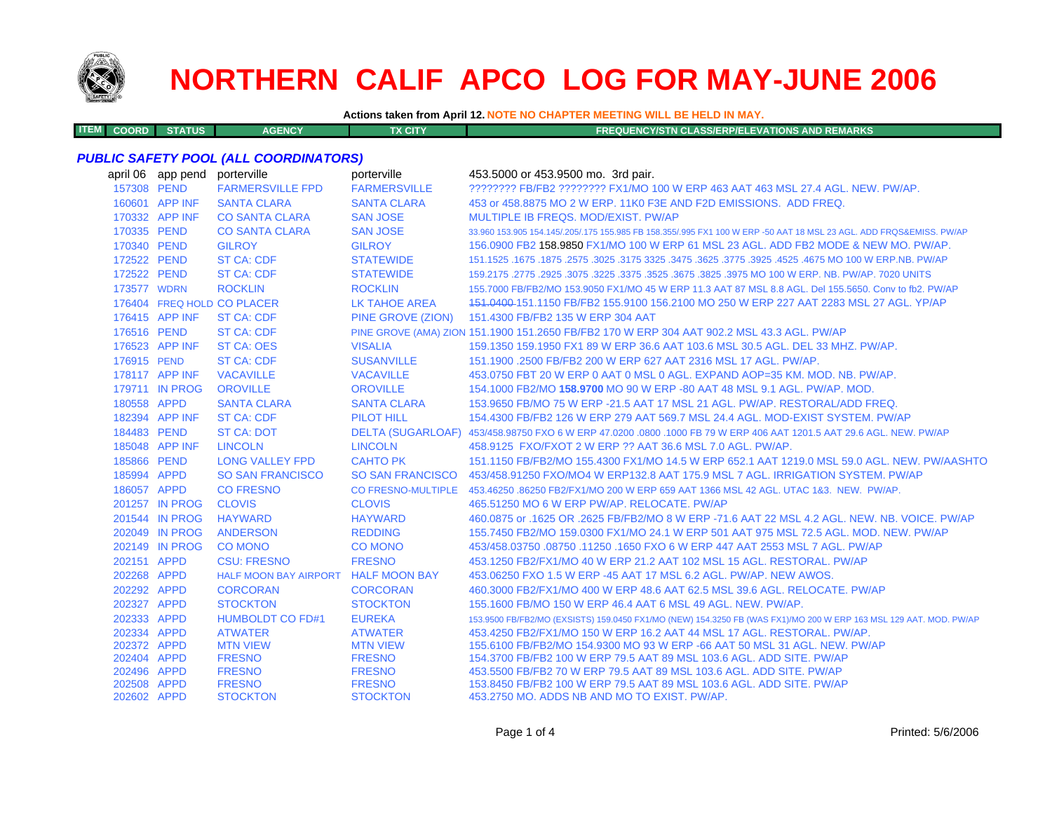

**ITEM**

# **NORTHERN CALIF APCO LOG FOR MAY-JUNE 2006**

**Actions taken from April 12. NOTE NO CHAPTER MEETING WILL BE HELD IN MAY.**

**COORD STATUS AGENCY TX CITY FREQUENCY/STN CLASS/ERP/ELEVATIONS AND REMARKS**

#### *PUBLIC SAFETY POOL (ALL COORDINATORS)*

| april 06 app pend | porterville                         | porterville               | 453.5000 or 453.9500 mo. 3rd pair.                                                                                  |
|-------------------|-------------------------------------|---------------------------|---------------------------------------------------------------------------------------------------------------------|
| 157308 PEND       | <b>FARMERSVILLE FPD</b>             | <b>FARMERSVILLE</b>       | ???????? FB/FB2 ???????? FX1/MO 100 W ERP 463 AAT 463 MSL 27.4 AGL, NEW, PW/AP,                                     |
| 160601 APP INF    | <b>SANTA CLARA</b>                  | <b>SANTA CLARA</b>        | 453 or 458.8875 MO 2 W ERP. 11K0 F3E AND F2D EMISSIONS. ADD FREQ.                                                   |
| 170332 APP INF    | <b>CO SANTA CLARA</b>               | <b>SAN JOSE</b>           | MULTIPLE IB FREQS, MOD/EXIST, PW/AP                                                                                 |
| 170335 PEND       | <b>CO SANTA CLARA</b>               | <b>SAN JOSE</b>           | 33.960 153.905 154.145/.205/.175 155.985 FB 158.355/.995 FX1 100 W ERP -50 AAT 18 MSL 23 AGL. ADD FRQS&EMISS. PW/AP |
| 170340 PEND       | <b>GILROY</b>                       | <b>GILROY</b>             | 156,0900 FB2 158,9850 FX1/MO 100 W ERP 61 MSL 23 AGL, ADD FB2 MODE & NEW MO, PW/AP.                                 |
| 172522 PEND       | <b>ST CA: CDF</b>                   | <b>STATEWIDE</b>          | 151.1525 .1675 .1875 .3025 .3175 .3625 .3625 .3775 .3625 .3775 .3925 .4525 .4675 MO 100 W ERP.NB. PW/AP             |
| 172522 PEND       | <b>ST CA: CDF</b>                   | <b>STATEWIDE</b>          | 159.2175 .2775 .2925 .3075 .3225 .3675 .3675 .3625 .3975 MO 100 W ERP. NB. PW/AP. 7020 UNITS                        |
| 173577 WDRN       | <b>ROCKLIN</b>                      | <b>ROCKLIN</b>            | 155,7000 FB/FB2/MO 153,9050 FX1/MO 45 W ERP 11.3 AAT 87 MSL 8.8 AGL, Del 155,5650, Conv to fb2, PW/AP               |
|                   | 176404 FREQ HOLD CO PLACER          | <b>LK TAHOE AREA</b>      | 151,0400-151,1150 FB/FB2 155,9100 156,2100 MO 250 W ERP 227 AAT 2283 MSL 27 AGL, YP/AP                              |
| 176415 APP INF    | <b>ST CA: CDF</b>                   | PINE GROVE (ZION)         | 151.4300 FB/FB2 135 W ERP 304 AAT                                                                                   |
| 176516 PEND       | <b>ST CA: CDF</b>                   |                           | PINE GROVE (AMA) ZION 151.1900 151.2650 FB/FB2 170 W ERP 304 AAT 902.2 MSL 43.3 AGL. PW/AP                          |
| 176523 APP INF    | <b>ST CA: OES</b>                   | <b>VISALIA</b>            | 159.1350 159.1950 FX1 89 W ERP 36.6 AAT 103.6 MSL 30.5 AGL, DEL 33 MHZ, PW/AP.                                      |
| 176915 PEND       | <b>ST CA: CDF</b>                   | <b>SUSANVILLE</b>         | 151.1900 .2500 FB/FB2 200 W ERP 627 AAT 2316 MSL 17 AGL, PW/AP.                                                     |
| 178117 APP INF    | <b>VACAVILLE</b>                    | <b>VACAVILLE</b>          | 453.0750 FBT 20 W ERP 0 AAT 0 MSL 0 AGL. EXPAND AOP=35 KM, MOD, NB, PW/AP.                                          |
| 179711 IN PROG    | <b>OROVILLE</b>                     | <b>OROVILLE</b>           | 154.1000 FB2/MO 158.9700 MO 90 W ERP -80 AAT 48 MSL 9.1 AGL. PW/AP. MOD.                                            |
| 180558 APPD       | <b>SANTA CLARA</b>                  | <b>SANTA CLARA</b>        | 153,9650 FB/MO 75 W ERP -21.5 AAT 17 MSL 21 AGL, PW/AP, RESTORAL/ADD FREQ.                                          |
| 182394 APP INF    | <b>ST CA: CDF</b>                   | <b>PILOT HILL</b>         | 154,4300 FB/FB2 126 W ERP 279 AAT 569.7 MSL 24.4 AGL, MOD-EXIST SYSTEM, PW/AP                                       |
| 184483 PEND       | <b>ST CA: DOT</b>                   |                           | DELTA (SUGARLOAF) 453/458.98750 FXO 6 W ERP 47.0200 .0800 .1000 FB 79 W ERP 406 AAT 1201.5 AAT 29.6 AGL. NEW, PW/AP |
| 185048 APP INF    | <b>LINCOLN</b>                      | <b>LINCOLN</b>            | 458.9125 FXO/FXOT 2 W ERP ?? AAT 36.6 MSL 7.0 AGL, PW/AP.                                                           |
| 185866 PEND       | <b>LONG VALLEY FPD</b>              | <b>CAHTO PK</b>           | 151.1150 FB/FB2/MO 155.4300 FX1/MO 14.5 W ERP 652.1 AAT 1219.0 MSL 59.0 AGL. NEW. PW/AASHTO                         |
| 185994 APPD       | <b>SO SAN FRANCISCO</b>             |                           | SO SAN FRANCISCO 453/458.91250 FXO/MO4 W ERP132.8 AAT 175.9 MSL 7 AGL. IRRIGATION SYSTEM. PW/AP                     |
| 186057 APPD       | <b>CO FRESNO</b>                    | <b>CO FRESNO-MULTIPLE</b> | 453.46250 .86250 FB2/FX1/MO 200 W ERP 659 AAT 1366 MSL 42 AGL. UTAC 1&3. NEW. PW/AP.                                |
| 201257 IN PROG    | <b>CLOVIS</b>                       | <b>CLOVIS</b>             | 465.51250 MO 6 W ERP PW/AP. RELOCATE. PW/AP                                                                         |
| 201544 IN PROG    | <b>HAYWARD</b>                      | <b>HAYWARD</b>            | 460.0875 or .1625 OR .2625 FB/FB2/MO 8 W ERP -71.6 AAT 22 MSL 4.2 AGL, NEW, NB, VOICE, PW/AP                        |
| 202049 IN PROG    | <b>ANDERSON</b>                     | <b>REDDING</b>            | 155.7450 FB2/MO 159.0300 FX1/MO 24.1 W ERP 501 AAT 975 MSL 72.5 AGL, MOD, NEW, PW/AP                                |
| 202149 IN PROG    | <b>CO MONO</b>                      | <b>CO MONO</b>            | 453/458.03750 .08750 .11250 .1650 FXO 6 W ERP 447 AAT 2553 MSL 7 AGL, PW/AP                                         |
| 202151 APPD       | <b>CSU: FRESNO</b>                  | <b>FRESNO</b>             | 453.1250 FB2/FX1/MO 40 W ERP 21.2 AAT 102 MSL 15 AGL, RESTORAL, PW/AP                                               |
| 202268 APPD       | HALF MOON BAY AIRPORT HALF MOON BAY |                           | 453,06250 FXO 1.5 W ERP -45 AAT 17 MSL 6.2 AGL, PW/AP, NEW AWOS,                                                    |
| 202292 APPD       | <b>CORCORAN</b>                     | <b>CORCORAN</b>           | 460.3000 FB2/FX1/MO 400 W ERP 48.6 AAT 62.5 MSL 39.6 AGL, RELOCATE, PW/AP                                           |
| 202327 APPD       | <b>STOCKTON</b>                     | <b>STOCKTON</b>           | 155,1600 FB/MO 150 W ERP 46.4 AAT 6 MSL 49 AGL, NEW, PW/AP.                                                         |
| 202333 APPD       | <b>HUMBOLDT CO FD#1</b>             | <b>EUREKA</b>             | 153.9500 FB/FB2/MO (EXSISTS) 159.0450 FX1/MO (NEW) 154.3250 FB (WAS FX1)/MO 200 W ERP 163 MSL 129 AAT. MOD. PW/AP   |
| 202334 APPD       | <b>ATWATER</b>                      | <b>ATWATER</b>            | 453.4250 FB2/FX1/MO 150 W ERP 16.2 AAT 44 MSL 17 AGL, RESTORAL, PW/AP.                                              |
| 202372 APPD       | <b>MTN VIEW</b>                     | <b>MTN VIEW</b>           | 155,6100 FB/FB2/MO 154,9300 MO 93 W ERP -66 AAT 50 MSL 31 AGL, NEW, PW/AP                                           |
| 202404 APPD       | <b>FRESNO</b>                       | <b>FRESNO</b>             | 154,3700 FB/FB2 100 W ERP 79.5 AAT 89 MSL 103.6 AGL, ADD SITE, PW/AP                                                |
| 202496 APPD       | <b>FRESNO</b>                       | <b>FRESNO</b>             | 453,5500 FB/FB2 70 W ERP 79.5 AAT 89 MSL 103.6 AGL, ADD SITE, PW/AP                                                 |
| 202508 APPD       | <b>FRESNO</b>                       | <b>FRESNO</b>             | 153.8450 FB/FB2 100 W ERP 79.5 AAT 89 MSL 103.6 AGL. ADD SITE. PW/AP                                                |
| 202602 APPD       | <b>STOCKTON</b>                     | <b>STOCKTON</b>           | 453.2750 MO, ADDS NB AND MO TO EXIST, PW/AP.                                                                        |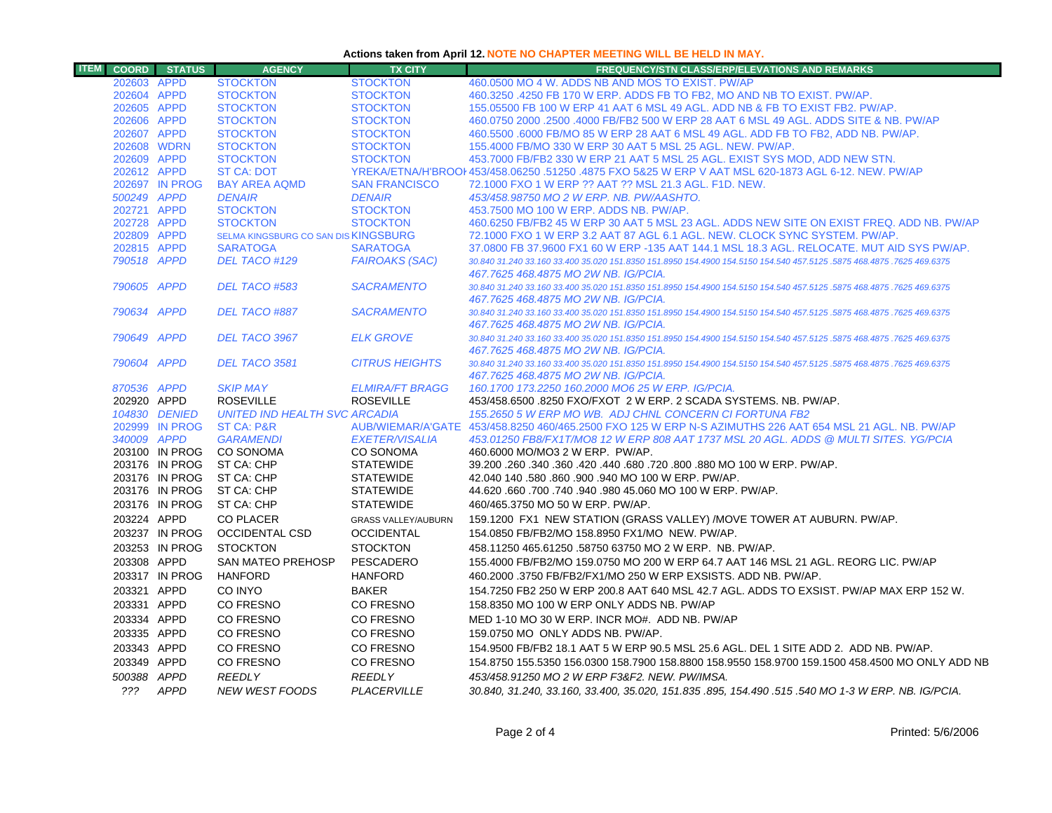#### **Actions taken from April 12. NOTE NO CHAPTER MEETING WILL BE HELD IN MAY.**

| <b>ITEM</b> | <b>COORD</b>               | <b>STATUS</b>                    | <b>AGENCY</b>                                           | <b>TX CITY</b>                       | <b>FREQUENCY/STN CLASS/ERP/ELEVATIONS AND REMARKS</b>                                                                                                                                                              |
|-------------|----------------------------|----------------------------------|---------------------------------------------------------|--------------------------------------|--------------------------------------------------------------------------------------------------------------------------------------------------------------------------------------------------------------------|
|             | 202603 APPD                |                                  | <b>STOCKTON</b>                                         | <b>STOCKTON</b>                      | 460,0500 MO 4 W. ADDS NB AND MOS TO EXIST. PW/AP                                                                                                                                                                   |
|             | 202604 APPD                |                                  | <b>STOCKTON</b>                                         | <b>STOCKTON</b>                      | 460.3250 .4250 FB 170 W ERP. ADDS FB TO FB2, MO AND NB TO EXIST. PW/AP.                                                                                                                                            |
|             | 202605 APPD                |                                  | <b>STOCKTON</b>                                         | <b>STOCKTON</b>                      | 155,05500 FB 100 W ERP 41 AAT 6 MSL 49 AGL, ADD NB & FB TO EXIST FB2, PW/AP.                                                                                                                                       |
|             | 202606 APPD                |                                  | <b>STOCKTON</b>                                         | <b>STOCKTON</b>                      | 460.0750 2000 .2500 .4000 FB/FB2 500 W ERP 28 AAT 6 MSL 49 AGL. ADDS SITE & NB. PW/AP                                                                                                                              |
|             | 202607 APPD                |                                  | <b>STOCKTON</b>                                         | <b>STOCKTON</b>                      | 460,5500,6000 FB/MO 85 W ERP 28 AAT 6 MSL 49 AGL, ADD FB TO FB2, ADD NB, PW/AP,                                                                                                                                    |
|             | 202608 WDRN                |                                  | <b>STOCKTON</b>                                         | <b>STOCKTON</b>                      | 155.4000 FB/MO 330 W ERP 30 AAT 5 MSL 25 AGL. NEW. PW/AP.                                                                                                                                                          |
|             | 202609 APPD                |                                  | <b>STOCKTON</b>                                         | <b>STOCKTON</b>                      | 453,7000 FB/FB2 330 W ERP 21 AAT 5 MSL 25 AGL. EXIST SYS MOD, ADD NEW STN.                                                                                                                                         |
|             | 202612 APPD                |                                  | <b>ST CA: DOT</b>                                       |                                      | YREKA/ETNA/H'BROOI 453/458.06250 .51250 .4875 FXO 5&25 W ERP V AAT MSL 620-1873 AGL 6-12. NEW. PW/AP                                                                                                               |
|             |                            | 202697 IN PROG                   | <b>BAY AREA AQMD</b>                                    | <b>SAN FRANCISCO</b>                 | 72.1000 FXO 1 W ERP ?? AAT ?? MSL 21.3 AGL. F1D. NEW.                                                                                                                                                              |
|             | 500249 APPD                |                                  | <b>DENAIR</b>                                           | <b>DENAIR</b>                        | 453/458.98750 MO 2 W ERP. NB. PW/AASHTO.                                                                                                                                                                           |
|             | 202721 APPD                |                                  | <b>STOCKTON</b>                                         | <b>STOCKTON</b>                      | 453.7500 MO 100 W ERP. ADDS NB. PW/AP.                                                                                                                                                                             |
|             | 202728 APPD                |                                  | <b>STOCKTON</b>                                         | <b>STOCKTON</b>                      | 460.6250 FB/FB2 45 W ERP 30 AAT 5 MSL 23 AGL. ADDS NEW SITE ON EXIST FREQ. ADD NB. PW/AP                                                                                                                           |
|             | 202809 APPD<br>202815 APPD |                                  | SELMA KINGSBURG CO SAN DIS KINGSBURG<br><b>SARATOGA</b> | <b>SARATOGA</b>                      | 72.1000 FXO 1 W ERP 3.2 AAT 87 AGL 6.1 AGL. NEW. CLOCK SYNC SYSTEM. PW/AP.                                                                                                                                         |
|             | 790518 APPD                |                                  | DEL TACO #129                                           | <b>FAIROAKS (SAC)</b>                | 37.0800 FB 37.9600 FX1 60 W ERP -135 AAT 144.1 MSL 18.3 AGL. RELOCATE. MUT AID SYS PW/AP.<br>30.840 31.240 33.160 33.400 35.020 151.8350 151.8950 154.4900 154.5150 154.540 457.5125 .5875 468.4875 .7625 469.6375 |
|             |                            |                                  |                                                         |                                      | 467.7625 468.4875 MO 2W NB. IG/PCIA.                                                                                                                                                                               |
|             | 790605 APPD                |                                  | DEL TACO #583                                           | <b>SACRAMENTO</b>                    | 30.840 31.240 33.160 33.400 35.020 151.8350 151.8950 154.4900 154.5150 154.540 457.5125 .5875 468.4875 .7625 469.6375                                                                                              |
|             |                            |                                  |                                                         |                                      | 467.7625 468.4875 MO 2W NB. IG/PCIA.                                                                                                                                                                               |
|             | 790634 APPD                |                                  | DEL TACO #887                                           | <b>SACRAMENTO</b>                    | 30.840 31.240 33.160 33.400 35.020 151.8350 151.8950 154.4900 154.5150 154.540 457.5125 .5875 468.4875 .7625 469.6375                                                                                              |
|             |                            |                                  |                                                         |                                      | 467.7625 468.4875 MO 2W NB. IG/PCIA.                                                                                                                                                                               |
|             | 790649 APPD                |                                  | DEL TACO 3967                                           | <b>ELK GROVE</b>                     | 30.840 31.240 33.160 33.400 35.020 151.8350 151.8950 154.4900 154.5150 154.540 457.5125 .5875 468.4875 .7625 469.6375                                                                                              |
|             |                            |                                  |                                                         |                                      | 467.7625 468.4875 MO 2W NB. IG/PCIA.                                                                                                                                                                               |
|             | 790604 APPD                |                                  | DEL TACO 3581                                           | <b>CITRUS HEIGHTS</b>                | 30.840 31.240 33.160 33.400 35.020 151.8350 151.8950 154.4900 154.5150 154.540 457.5125 .5875 468.4875 .7625 469.6375                                                                                              |
|             |                            |                                  |                                                         |                                      | 467.7625 468.4875 MO 2W NB. IG/PCIA.                                                                                                                                                                               |
|             | 870536 APPD                |                                  | <b>SKIP MAY</b>                                         | <b>ELMIRA/FT BRAGG</b>               | 160.1700 173.2250 160.2000 MO6 25 W ERP. IG/PCIA.                                                                                                                                                                  |
|             | 202920 APPD                |                                  | <b>ROSEVILLE</b>                                        | <b>ROSEVILLE</b>                     | 453/458.6500 .8250 FXO/FXOT 2 W ERP. 2 SCADA SYSTEMS. NB. PW/AP.                                                                                                                                                   |
|             |                            | 104830 DENIED                    | <b>UNITED IND HEALTH SVC ARCADIA</b>                    |                                      | 155.2650 5 W ERP MO WB. ADJ CHNL CONCERN CI FORTUNA FB2                                                                                                                                                            |
|             |                            | 202999 IN PROG                   | <b>ST CA: P&amp;R</b>                                   |                                      | AUB/WIEMAR/A'GATE 453/458.8250 460/465.2500 FXO 125 W ERP N-S AZIMUTHS 226 AAT 654 MSL 21 AGL, NB, PW/AP                                                                                                           |
|             | 340009 APPD                |                                  | <b>GARAMENDI</b>                                        | <b>EXETER/VISALIA</b>                | 453.01250 FB8/FX1T/MO8 12 W ERP 808 AAT 1737 MSL 20 AGL. ADDS @ MULTI SITES. YG/PCIA                                                                                                                               |
|             |                            | 203100 IN PROG                   | <b>CO SONOMA</b>                                        | <b>CO SONOMA</b>                     | 460,6000 MO/MO3 2 W ERP. PW/AP.                                                                                                                                                                                    |
|             |                            | 203176 IN PROG<br>203176 IN PROG | ST CA: CHP<br>ST CA: CHP                                | <b>STATEWIDE</b><br><b>STATEWIDE</b> | 39.200 .260 .340 .360 .420 .440 .680 .720 .800 .880 MO 100 W ERP. PW/AP.<br>42.040 140 .580 .860 .900 .940 MO 100 W ERP. PW/AP.                                                                                    |
|             |                            | 203176 IN PROG                   | ST CA: CHP                                              | <b>STATEWIDE</b>                     | 44.620 .660 .700 .740 .940 .980 45.060 MO 100 W ERP. PW/AP.                                                                                                                                                        |
|             |                            | 203176 IN PROG                   | ST CA: CHP                                              | <b>STATEWIDE</b>                     | 460/465.3750 MO 50 W ERP. PW/AP.                                                                                                                                                                                   |
|             |                            |                                  |                                                         |                                      |                                                                                                                                                                                                                    |
|             | 203224 APPD                |                                  | <b>CO PLACER</b>                                        | <b>GRASS VALLEY/AUBURN</b>           | 159.1200 FX1 NEW STATION (GRASS VALLEY) /MOVE TOWER AT AUBURN. PW/AP.                                                                                                                                              |
|             |                            | 203237 IN PROG                   | <b>OCCIDENTAL CSD</b>                                   | <b>OCCIDENTAL</b>                    | 154.0850 FB/FB2/MO 158.8950 FX1/MO NEW. PW/AP.                                                                                                                                                                     |
|             |                            | 203253 IN PROG                   | <b>STOCKTON</b>                                         | <b>STOCKTON</b>                      | 458.11250 465.61250 .58750 63750 MO 2 W ERP. NB. PW/AP.                                                                                                                                                            |
|             | 203308 APPD                |                                  | <b>SAN MATEO PREHOSP</b>                                | PESCADERO                            | 155,4000 FB/FB2/MO 159,0750 MO 200 W ERP 64.7 AAT 146 MSL 21 AGL, REORG LIC, PW/AP                                                                                                                                 |
|             |                            | 203317 IN PROG                   | <b>HANFORD</b>                                          | <b>HANFORD</b>                       | 460.2000 .3750 FB/FB2/FX1/MO 250 W ERP EXSISTS. ADD NB. PW/AP.                                                                                                                                                     |
|             | 203321 APPD                |                                  | CO INYO                                                 | <b>BAKER</b>                         | 154.7250 FB2 250 W ERP 200.8 AAT 640 MSL 42.7 AGL. ADDS TO EXSIST. PW/AP MAX ERP 152 W.                                                                                                                            |
|             | 203331 APPD                |                                  | CO FRESNO                                               | CO FRESNO                            | 158.8350 MO 100 W ERP ONLY ADDS NB. PW/AP                                                                                                                                                                          |
|             | 203334 APPD                |                                  | CO FRESNO                                               | CO FRESNO                            | MED 1-10 MO 30 W ERP. INCR MO#. ADD NB. PW/AP                                                                                                                                                                      |
|             | 203335 APPD                |                                  | <b>CO FRESNO</b>                                        | CO FRESNO                            | 159.0750 MO ONLY ADDS NB. PW/AP.                                                                                                                                                                                   |
|             | 203343 APPD                |                                  | CO FRESNO                                               | CO FRESNO                            | 154.9500 FB/FB2 18.1 AAT 5 W ERP 90.5 MSL 25.6 AGL. DEL 1 SITE ADD 2. ADD NB. PW/AP.                                                                                                                               |
|             | 203349 APPD                |                                  | CO FRESNO                                               | CO FRESNO                            | 154.8750 155.5350 156.0300 158.7900 158.8800 158.9550 158.9700 159.1500 458.4500 MO ONLY ADD NB                                                                                                                    |
|             | 500388 APPD                |                                  | <b>REEDLY</b>                                           | <b>REEDLY</b>                        | 453/458.91250 MO 2 W ERP F3&F2. NEW. PW/IMSA.                                                                                                                                                                      |
|             |                            | ??? APPD                         | <b>NEW WEST FOODS</b>                                   | <b>PLACERVILLE</b>                   | .30.840, 31.240, 33.160, 33.400, 35.020, 151.835 .895, 154.490 .515 .540 MO 1-3 W ERP. NB. IG/PCIA                                                                                                                 |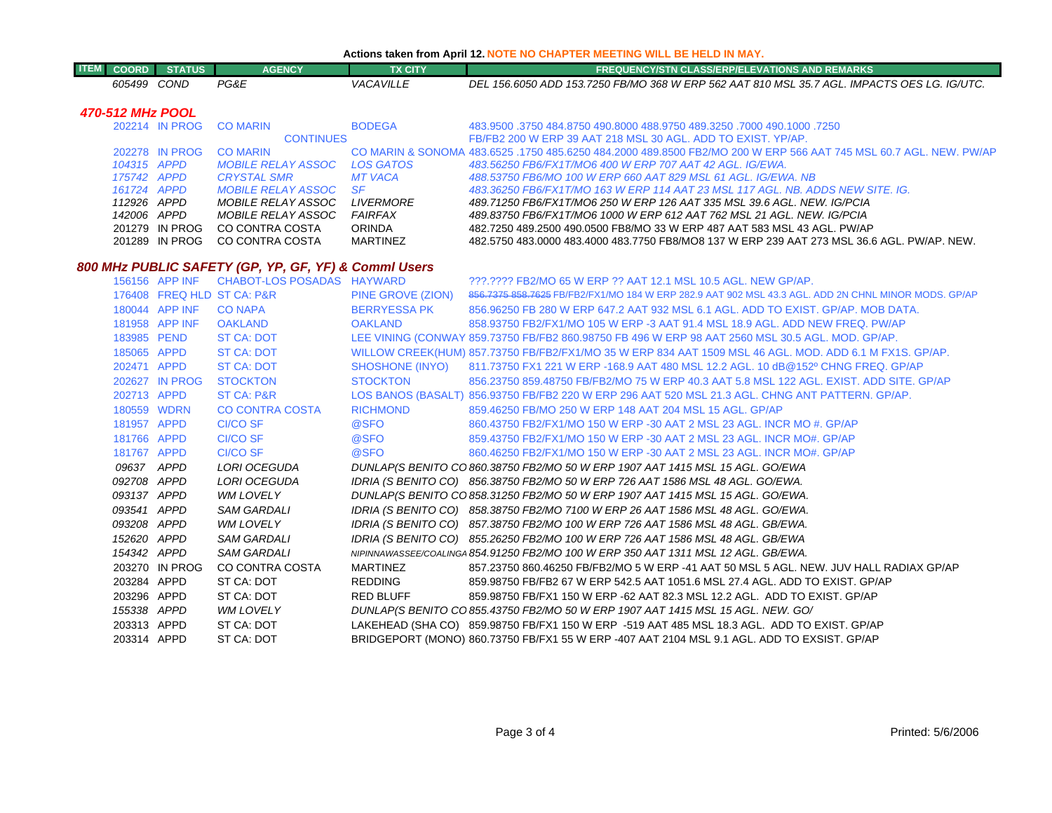| <b>ITEM</b> | <b>COORD</b>     | <b>STATUS</b>  | <b>AGENCY</b>                                     | <b>TX CITY</b>   | <b>FREQUENCY/STN CLASS/ERP/ELEVATIONS AND REMARKS</b>                                                             |
|-------------|------------------|----------------|---------------------------------------------------|------------------|-------------------------------------------------------------------------------------------------------------------|
|             | 605499           | COND           | PG&E                                              | VACAVILLE        | DEL 156.6050 ADD 153.7250 FB/MO 368 W ERP 562 AAT 810 MSL 35.7 AGL. IMPACTS OES LG. IG/UTC.                       |
|             | 470-512 MHz POOL |                |                                                   |                  |                                                                                                                   |
|             |                  | 202214 IN PROG | <b>CO MARIN</b>                                   | <b>BODEGA</b>    | 483.9500 .3750 484.8750 490.8000 488.9750 489.3250 .7000 490.1000 .3750                                           |
|             |                  |                | <b>CONTINUES</b>                                  |                  | FB/FB2 200 W ERP 39 AAT 218 MSL 30 AGL. ADD TO EXIST, YP/AP.                                                      |
|             |                  | 202278 IN PROG | <b>CO MARIN</b>                                   |                  | CO MARIN & SONOMA 483.6525 .1750 485.6250 484.2000 489.8500 FB2/MO 200 W ERP 566 AAT 745 MSL 60.7 AGL. NEW, PW/AP |
|             | 104315 APPD      |                | <b>MOBILE RELAY ASSOC</b>                         | <b>LOS GATOS</b> | 483.56250 FB6/FX1T/MO6 400 W ERP 707 AAT 42 AGL. IG/EWA.                                                          |
|             | 175742 APPD      |                | <b>CRYSTAL SMR</b>                                | <b>MT VACA</b>   | 488.53750 FB6/MO 100 W ERP 660 AAT 829 MSL 61 AGL. IG/EWA. NB                                                     |
|             | 161724 APPD      |                | <i>MOBILE RELAY ASSOC</i>                         | - SF             | 483.36250 FB6/FX1T/MO 163 W ERP 114 AAT 23 MSL 117 AGL. NB. ADDS NEW SITE. IG.                                    |
|             | 112926 APPD      |                | <i>MOBILE RELAY ASSOC</i>                         | <i>LIVERMORE</i> | 489.71250 FB6/FX1T/MO6 250 W ERP 126 AAT 335 MSL 39.6 AGL. NEW. IG/PCIA                                           |
|             | 142006 APPD      |                | <i>MOBILE RELAY ASSOC</i>                         | FAIRFAX          | 489.83750 FB6/FX1T/MO6 1000 W ERP 612 AAT 762 MSL 21 AGL. NEW. IG/PCIA                                            |
|             |                  | 201279 IN PROG | CO CONTRA COSTA                                   | <b>ORINDA</b>    | 482.7250 489.2500 490.0500 FB8/MO 33 W ERP 487 AAT 583 MSL 43 AGL. PW/AP                                          |
|             |                  | 201289 IN PROG | CO CONTRA COSTA                                   | <b>MARTINEZ</b>  | .482.5750 483.0000 483.4000 483.7750 FB8/MO8 137 W ERP 239 AAT 273 MSL 36.6 AGL. PW/AP. NEW                       |
|             |                  |                | 800 MHz PURLIC SAFETY (GP_VP_GE_VF) & CommLlisers |                  |                                                                                                                   |

**Actions taken from April 12. NOTE NO CHAPTER MEETING WILL BE HELD IN MAY.**

## *800 MHz PUBLIC SAFETY (GP, YP, GF, YF) & Comml Users*

|             | 156156 APP INF | CHABOT-LOS POSADAS HAYWARD |                                                                                                                                                                                                                               | 222.2222 FB2/MO 65 W ERP 22 AAT 12.1 MSL 10.5 AGL. NEW GP/AP.                                           |
|-------------|----------------|----------------------------|-------------------------------------------------------------------------------------------------------------------------------------------------------------------------------------------------------------------------------|---------------------------------------------------------------------------------------------------------|
|             |                | 176408 FREQ HLD ST CA: P&R | PINE GROVE (ZION)                                                                                                                                                                                                             | 856.7375 858.7625 FB/FB2/FX1/MO 184 W ERP 282.9 AAT 902 MSL 43.3 AGL. ADD 2N CHNL MINOR MODS. GP/AF     |
|             | 180044 APP INF | <b>CO NAPA</b>             | BERRYESSA PK                                                                                                                                                                                                                  | 856,96250 FB 280 W ERP 647.2 AAT 932 MSL 6.1 AGL, ADD TO EXIST, GP/AP, MOB DATA,                        |
|             | 181958 APP INF | OAKLAND                    | <b>OAKLAND</b>                                                                                                                                                                                                                | 858.93750 FB2/FX1/MO 105 W ERP -3 AAT 91.4 MSL 18.9 AGL, ADD NEW FREQ, PW/AP                            |
| 183985 PEND |                | ST CA: DOT                 |                                                                                                                                                                                                                               | LEE VINING (CONWAY 859.73750 FB/FB2 860.98750 FB 496 W ERP 98 AAT 2560 MSL 30.5 AGL. MOD. GP/AP.        |
| 185065 APPD |                | ST CA: DOT                 |                                                                                                                                                                                                                               | WILLOW CREEK(HUM) 857.73750 FB/FB2/FX1/MO 35 W ERP 834 AAT 1509 MSL 46 AGL. MOD. ADD 6.1 M FX1S. GP/AP. |
| 202471 APPD |                | ST CA: DOT                 |                                                                                                                                                                                                                               | SHOSHONE (INYO) 811.73750 FX1 221 W ERP -168.9 AAT 480 MSL 12.2 AGL. 10 dB@152º CHNG FREQ. GP/AP        |
|             | 202627 IN PROG | <b>STOCKTON</b>            | <b>STOCKTON</b>                                                                                                                                                                                                               | 856.23750 859.48750 FB/FB2/MO 75 W ERP 40.3 AAT 5.8 MSL 122 AGL, EXIST, ADD SITE, GP/AP                 |
| 202713 APPD |                | ST CA: P&R                 |                                                                                                                                                                                                                               | LOS BANOS (BASALT) 856.93750 FB/FB2 220 W ERP 296 AAT 520 MSL 21.3 AGL. CHNG ANT PATTERN. GP/AP.        |
|             | 180559 WDRN    | CO CONTRA COSTA            | <b>RICHMOND</b>                                                                                                                                                                                                               | 859.46250 FB/MO 250 W ERP 148 AAT 204 MSL 15 AGL, GP/AP                                                 |
| 181957 APPD |                | CI/CO SF                   | @SFO                                                                                                                                                                                                                          | 860.43750 FB2/FX1/MO 150 W ERP -30 AAT 2 MSL 23 AGL. INCR MO #. GP/AP                                   |
| 181766 APPD |                | CI/CO SF                   | Q SFO And All Contracts and All Contracts and All Contracts and All Contracts and All Contracts and All Contracts and All Contracts and All Contracts and All Contracts and All Contracts and All Contracts and All Contracts | 859.43750 FB2/FX1/MO 150 W ERP -30 AAT 2 MSL 23 AGL. INCR MO#, GP/AP                                    |
| 181767 APPD |                | CI/CO SF                   | <b>@SFO</b>                                                                                                                                                                                                                   | 860.46250 FB2/FX1/MO 150 W ERP -30 AAT 2 MSL 23 AGL. INCR MO#. GP/AP                                    |
| 09637 APPD  |                | LORI OCEGUDA               |                                                                                                                                                                                                                               | DUNLAP(S BENITO CO 860.38750 FB2/MO 50 W ERP 1907 AAT 1415 MSL 15 AGL. GO/EWA                           |
| 092708 APPD |                | LORI OCEGUDA               |                                                                                                                                                                                                                               | IDRIA (S BENITO CO) 856.38750 FB2/MO 50 W ERP 726 AAT 1586 MSL 48 AGL. GO/EWA.                          |
| 093137 APPD |                | <b>WM LOVELY</b>           |                                                                                                                                                                                                                               | DUNLAP(S BENITO CO 858.31250 FB2/MO 50 W ERP 1907 AAT 1415 MSL 15 AGL. GO/EWA.                          |
| 093541 APPD |                | <b>SAM GARDALI</b>         |                                                                                                                                                                                                                               | IDRIA (S BENITO CO) 858.38750 FB2/MO 7100 W ERP 26 AAT 1586 MSL 48 AGL. GO/EWA.                         |
| 093208 APPD |                | WM LOVELY                  |                                                                                                                                                                                                                               | IDRIA (S BENITO CO) 857.38750 FB2/MO 100 W ERP 726 AAT 1586 MSL 48 AGL. GB/EWA.                         |
| 152620 APPD |                | <b>SAM GARDALI</b>         |                                                                                                                                                                                                                               | IDRIA (S BENITO CO) 855.26250 FB2/MO 100 W ERP 726 AAT 1586 MSL 48 AGL. GB/EWA                          |
| 154342 APPD |                | <b>SAM GARDALI</b>         |                                                                                                                                                                                                                               | NIPINNAWASSEE/COALINGA 854.91250 FB2/MO 100 W ERP 350 AAT 1311 MSL 12 AGL. GB/EWA.                      |
|             | 203270 IN PROG | CO CONTRA COSTA            | MARTINEZ                                                                                                                                                                                                                      | 857.23750 860.46250 FB/FB2/MO 5 W ERP -41 AAT 50 MSL 5 AGL. NEW. JUV HALL RADIAX GP/AP                  |
| 203284 APPD |                | ST CA: DOT                 | REDDING                                                                                                                                                                                                                       | 859.98750 FB/FB2 67 W ERP 542.5 AAT 1051.6 MSL 27.4 AGL. ADD TO EXIST. GP/AP                            |
| 203296 APPD |                | ST CA: DOT                 | RED BLUFF                                                                                                                                                                                                                     | 859.98750 FB/FX1 150 W ERP -62 AAT 82.3 MSL 12.2 AGL. ADD TO EXIST, GP/AP                               |
| 155338 APPD |                | WM LOVELY                  |                                                                                                                                                                                                                               | DUNLAP(S BENITO CO 855.43750 FB2/MO 50 W ERP 1907 AAT 1415 MSL 15 AGL. NEW. GO/                         |
| 203313 APPD |                | ST CA: DOT                 |                                                                                                                                                                                                                               | LAKEHEAD (SHA CO) 859.98750 FB/FX1 150 W ERP -519 AAT 485 MSL 18.3 AGL. ADD TO EXIST. GP/AP             |
| 203314 APPD |                | ST CA: DOT                 |                                                                                                                                                                                                                               | BRIDGEPORT (MONO) 860.73750 FB/FX1 55 W ERP -407 AAT 2104 MSL 9.1 AGL. ADD TO EXSIST. GP/AP             |